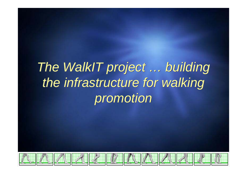# *The WalkIT project … building The WalkIT project … building the infrastructure for walking the infrastructure for walking promotion promotion*

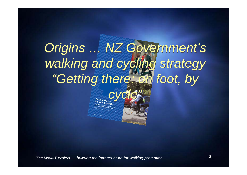### *Origins … NZ Government's Origins … NZ Government's walking and cycling strategy "Getting there: on foot, by walking and cycling strategy "Getting there: on foot, by*

*cycle" cycle"*

*The WalkIT project … building the infrastructure for walking promotion* <sup>2</sup>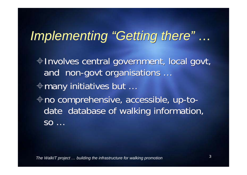# *Implementing "Getting there" … Implementing "Getting there" …*

Involves central government, local govt, Involves central government, local govt, and non-govt organisations … and non-govt organisations … many initiatives but … many initiatives but … no comprehensive, accessible, up-to-no comprehensive, accessible, up-todate database of walking information, date database of walking information,  ${\sf SO}$   $\dots$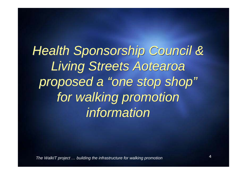*Health Sponsorship Council & Health Sponsorship Council & Living Streets Aotearoa Living Streets Aotearoa proposed a "one stop shop" proposed a "one stop shop" for walking promotion for walking promotion information information*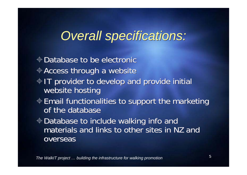### *Overall specifications: Overall specifications:*

- $\oplus$  Database to be electronic
- Access through a website Access through a website
- IT provider to develop and provide initial IT provider to develop and provide initial website hosting website hosting
- $\textcolor{black}{\Phi}$  Email functionalities to support the marketing of the database
- Database to include walking info and Database to include walking info and materials and links to other sites in NZ and overseas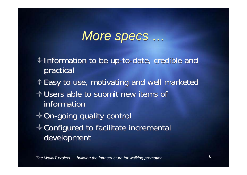### *More specs … More specs …*

- Information to be up-to-date, credible and Information to be up-to-date, credible and practical practical
- $\textcolor{black}{\Phi}$  Easy to use, motivating and well marketed
- $\textcolor{black}{\Phi}$  Users able to submit new items of information
- $\textcolor{black}{\Phi}$  On-going quality control Configured to facilitate incremental Configured to facilitate incremental development development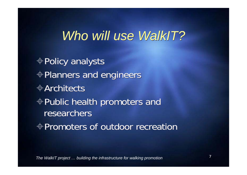### *Who will use WalkIT? Who will use WalkIT?*

Policy analysts Policy analysts Planners and engineers Planners and engineers  $\oplus$ Architects Public health promoters and Public health promoters and researchers  $\oplus$  Promoters of outdoor recreation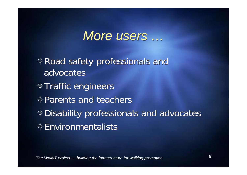### *More users … More users …*

Road safety professionals and Road safety professionals and advocates Traffic engineers Traffic engineers Parents and teachers Parents and teachers Disability professionals and advocates Disability professionals and advocates  $\textcolor{black}{\Phi}$ Environmentalists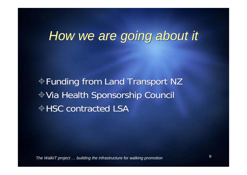## *How we are going about it How we are going about it*

Funding from Land Transport NZ Funding from Land Transport NZ Via Health Sponsorship Council Via Health Sponsorship Council  $\oplus$  HSC contracted LSA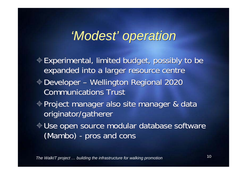## *'Modest' operation 'Modest' operation*

Experimental, limited budget, possibly to be Experimental, limited budget, possibly to be expanded into a larger resource centre expanded into a larger resource centre Developer – Wellington Regional 2020 Developer – Wellington Regional 2020 **Communications Trust** Project manager also site manager & data Project manager also site manager & data originator/gatherer originator/gatherer Use open source modular database software Use open source modular database software (Mambo) - pros and cons (Mambo) - pros and cons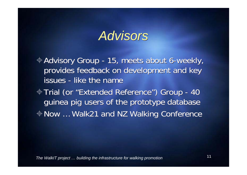### *Advisors Advisors*

- Advisory Group 15, meets about 6-weekly, Advisory Group 15, meets about 6-weekly, provides feedback on development and key provides feedback on development and key issues - like the name
- Trial (or "Extended Reference") Group 40 Trial (or "Extended Reference") Group 40 guinea pig users of the prototype database guinea pig users of the prototype database Now … Walk21 and NZ Walking Conference Now … Walk21 and NZ Walking Conference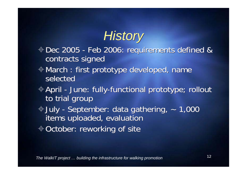# *History History*

- Dec 2005 Feb 2006: requirements defined & Dec 2005 Feb 2006: requirements defined & contracts signed contracts signed
- March : first prototype developed, name March : first prototype developed, name selected
- April June: fully-functional prototype; rollout April June: fully-functional prototype; rollout to trial group to trial group
- July September: data gathering, ~ 1,000 July September: data gathering, ~ 1,000 items uploaded, evaluation items uploaded, evaluation
- October: reworking of site October: reworking of site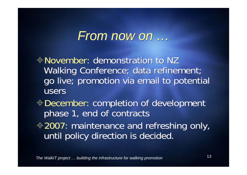### *From now on … From now on …*

November: demonstration to NZ November: demonstration to NZ Walking Conference; data refinement; Walking Conference; data refinement; go live; promotion via email to potential go live; promotion via email to potential users

- December: completion of development December: completion of development phase 1, end of contracts phase 1, end of contracts
- 2007: maintenance and refreshing only, 2007: maintenance and refreshing only, until policy direction is decided. until policy direction is decided.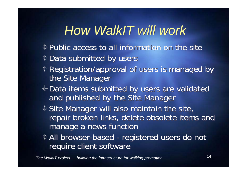## *How WalkIT will work How WalkIT will work*

- $\oplus$  Public access to all information on the site
- Data submitted by users Data submitted by users
- Registration/approval of users is managed by Registration/approval of users is managed by the Site Manager the Site Manager
- Data items submitted by users are validated Data items submitted by users are validated and published by the Site Manager and published by the Site Manager
- Site Manager will also maintain the site, Site Manager will also maintain the site, repair broken links, delete obsolete items and repair broken links, delete obsolete items and manage a news function manage a news function
- All browser-based registered users do not All browser-based registered users do not require client software require client software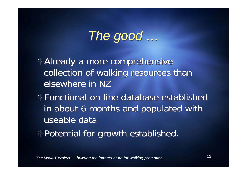# *The good … The good …*

Already a more comprehensive Already a more comprehensive collection of walking resources than collection of walking resources than elsewhere in NZ Functional on-line database established Functional on-line database established in about 6 months and populated with in about 6 months and populated with useable data Potential for growth established. Potential for growth established.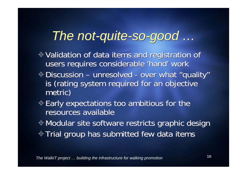## *The not-quite-so-good … The not-quite-so-good …*

- Validation of data items and registration of Validation of data items and registration of users requires considerable 'hand' work users requires considerable 'hand' work
- Discussion unresolved over what "quality" Discussion unresolved over what "quality" is (rating system required for an objective is (rating system required for an objective metric) metric)
- $\mathop{\Leftrightarrow}\nolimits$  Early expectations too ambitious for the resources available
- Modular site software restricts graphic design Modular site software restricts graphic design  $\textcolor{black}{\Phi}$  Trial group has submitted few data items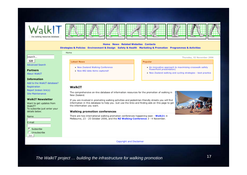

### **Home News Related Websites Contacts**

### Strategies & Policies Environment & Design Safety & Health Marketing & Promotion Programmes & Activities

search...

GO **Advanced Search** 

**Partners** 

**About WalkIT** 

### **Information**

Add to the WalkIT database? Registration Report broken link(s) **Site Maintenance** 

### **WalkIT Newsletter**

Want to get updates from WalkIT? To subscribe just enter your details below.

### Name



### . New Zealand Walking Conference Now 882 data items captured! WalkIT

The comprehensive on-line database of information resources for the promotion of walking in New Zealand.

If you are involved in promoting walking activities and pedestrian-friendly streets you will find information in this database to help you. Just use the links and finding aids on this page to get the information you want.

### **Walking promotion conferences**

There are two international walking promotion conferences happening soon - Walk21 in Melbourne, 23 - 25 October 2006, and the NZ Walking Conference 3 - 4 November.

### **Copyright and Disclaimer**

*The WalkIT project … building the infrastructure for walking promotion* <sup>17</sup>

Thursday, 02 November 2006

### Popular

- . An innovative approach to maximising crosswalk safety PowerPoint presentation)
- . New Zealand walking and cycling strategies best practice

### **Latest News**

- 
- 

### Home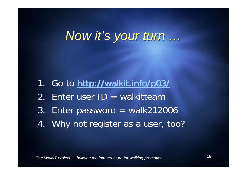## *Now it's your turn … Now it's your turn …*

- 1. Go to http://walkit.info/p03/ 1. Go to http://walkit.info/p03/
- 2. Enter user ID = walkitteam
- 3. Enter password = walk212006 3. Enter password = walk212006
- 4. Why not register as a user, too? 4. Why not register as a user, too?